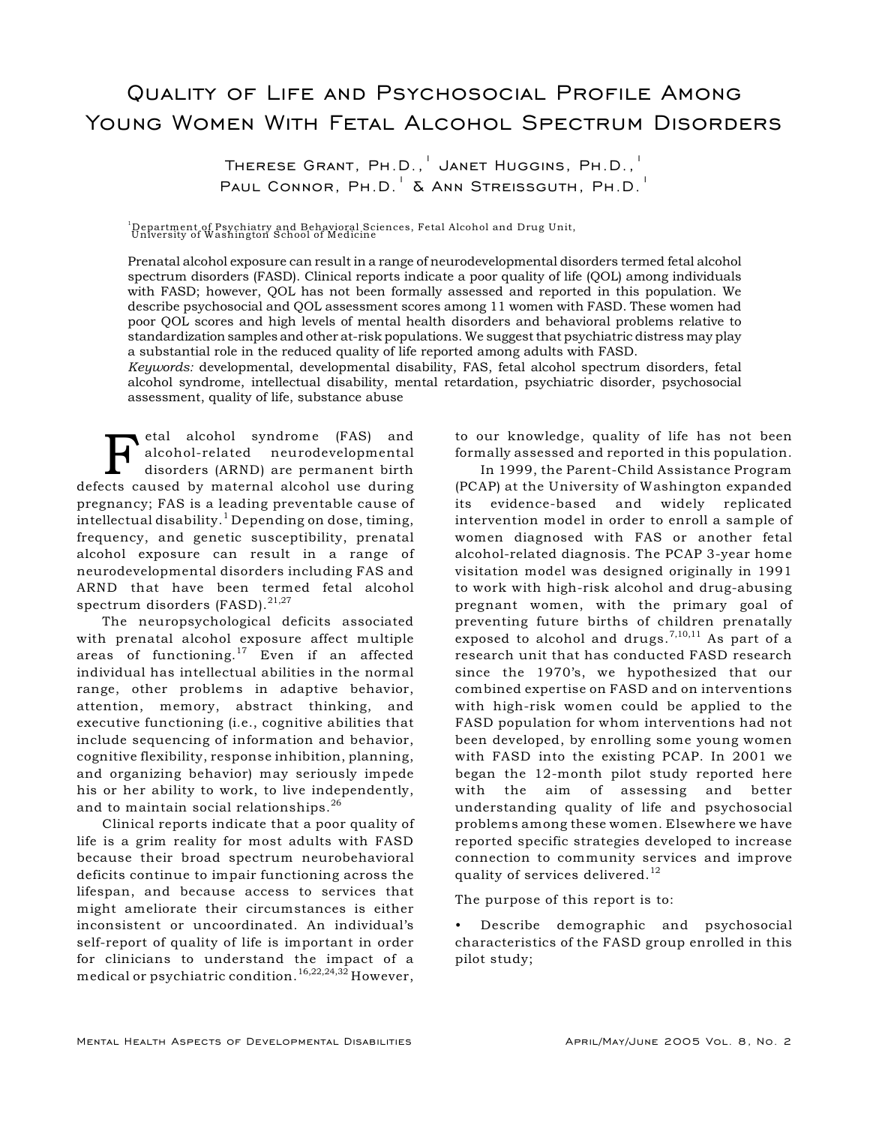# Quality of Life and Psychosocial Profile Among Young Women With Fetal Alcohol Spectrum Disorders

THERESE GRANT, PH.D., JANET HUGGINS, PH.D., PAUL CONNOR,  $PH.D.$   $\lambda$  Ann Streissguth, Ph.D.

<sup>1</sup>Department of Psychiatry and Behavioral Sciences, Fetal Alcohol and Drug Unit,<br>University of Washington School of Medicine

Prenatal alcohol exposure can result in a range of neurodevelopmental disorders termed fetal alcohol spectrum disorders (FASD). Clinical reports indicate a poor quality of life (QOL) among individuals with FASD; however, QOL has not been formally assessed and reported in this population. We describe psychosocial and QOL assessment scores among 11 women with FASD. These women had poor QOL scores and high levels of mental health disorders and behavioral problems relative to standardization samples and other at-risk populations. We suggest that psychiatric distress may play a substantial role in the reduced quality of life reported among adults with FASD.

*Keywords:* developmental, developmental disability, FAS, fetal alcohol spectrum disorders, fetal alcohol syndrome, intellectual disability, mental retardation, psychiatric disorder, psychosocial assessment, quality of life, substance abuse

**FAS** etal alcohol syndrome (FAS) and<br>alcohol-related neurodevelopmental<br>disorders (ARND) are permanent birth<br>cots caused by maternal alcohol use during alcohol-related neurodevelopmental disorders (ARND) are permanent birth defects caused by maternal alcohol use during pregnancy; FAS is a leading preventable cause of intellectual disability.<sup>1</sup> Depending on dose, timing, frequency, and genetic susceptibility, prenatal alcohol exposure can result in a range of neurodevelopmental disorders including FAS and ARND that have been termed fetal alcohol spectrum disorders (FASD).<sup>21,27</sup>

The neuropsychological deficits associated with prenatal alcohol exposure affect multiple areas of functioning.<sup>17</sup> Even if an affected individual has intellectual abilities in the normal range, other problems in adaptive behavior, attention, memory, abstract thinking, and executive functioning (i.e., cognitive abilities that include sequencing of information and behavior, cognitive flexibility, response inhibition, planning, and organizing behavior) may seriously impede his or her ability to work, to live independently, and to maintain social relationships.<sup>26</sup>

Clinical reports indicate that a poor quality of life is a grim reality for most adults with FASD because their broad spectrum neurobehavioral deficits continue to impair functioning across the lifespan, and because access to services that might ameliorate their circumstances is either inconsistent or uncoordinated. An individual's self-report of quality of life is important in order for clinicians to understand the impact of a medical or psychiatric condition.<sup>16,22,24,32</sup> However,

to our knowledge, quality of life has not been formally assessed and reported in this population.

In 1999, the Parent-Child Assistance Program (PCAP) at the University of Washington expanded its evidence-based and widely replicated intervention model in order to enroll a sample of women diagnosed with FAS or another fetal alcohol-related diagnosis. The PCAP 3-year home visitation model was designed originally in 1991 to work with high-risk alcohol and drug-abusing pregnant women, with the primary goal of preventing future births of children prenatally exposed to alcohol and drugs.  $7,10,11$  As part of a research unit that has conducted FASD research since the 1970's, we hypothesized that our combined expertise on FASD and on interventions with high-risk women could be applied to the FASD population for whom interventions had not been developed, by enrolling some young women with FASD into the existing PCAP. In 2001 we began the 12-month pilot study reported here with the aim of assessing and better understanding quality of life and psychosocial problems among these women. Elsewhere we have reported specific strategies developed to increase connection to community services and improve quality of services delivered.<sup>12</sup>

The purpose of this report is to:

• Describe demographic and psychosocial characteristics of the FASD group enrolled in this pilot study;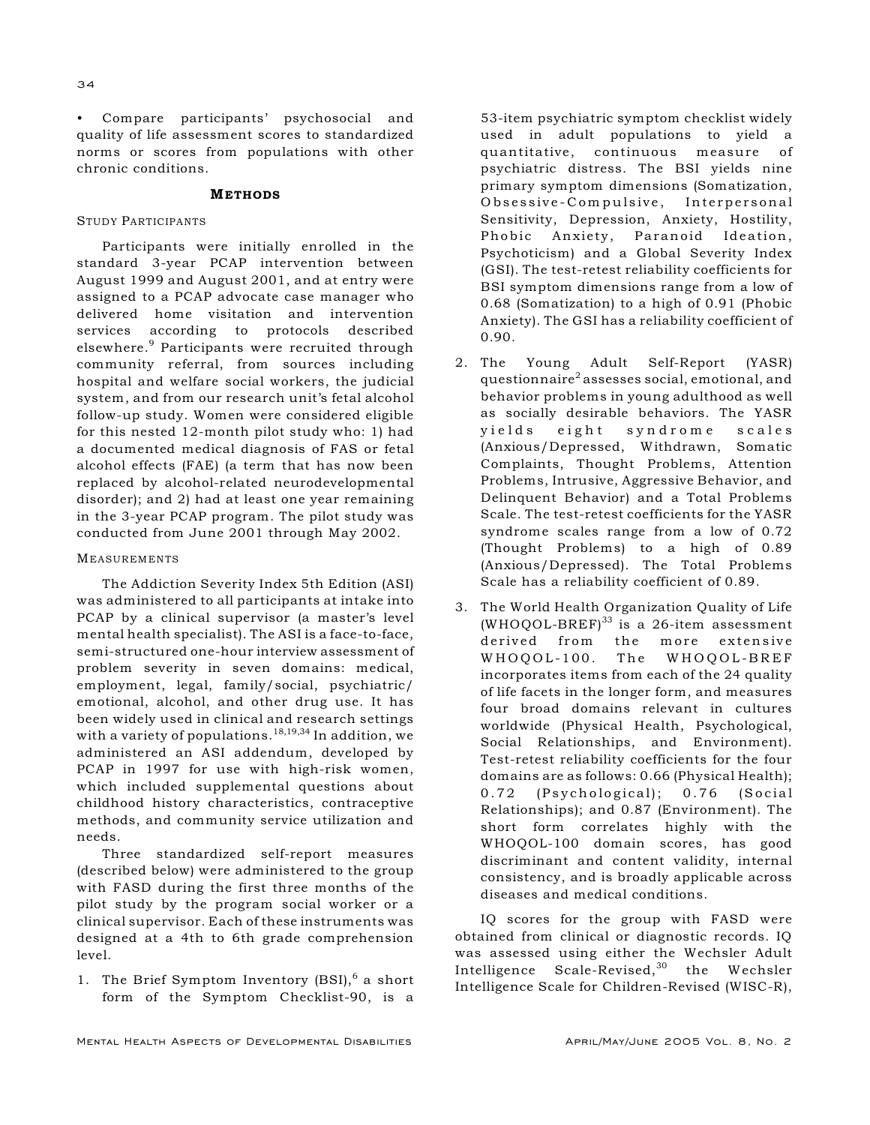• Compare participants' psychosocial and quality of life assessment scores to standardized norms or scores from populations with other chronic conditions.

## METHODS

# STUDY PARTICIPANTS

Participants were initially enrolled in the standard 3-year PCAP intervention between August 1999 and August 2001, and at entry were assigned to a PCAP advocate case manager who delivered home visitation and intervention services according to protocols described elsewhere.<sup>9</sup> Participants were recruited through community referral, from sources including hospital and welfare social workers, the judicial system, and from our research unit's fetal alcohol follow-up study. Women were considered eligible for this nested 12-month pilot study who: 1) had a documented medical diagnosis of FAS or fetal alcohol effects (FAE) (a term that has now been replaced by alcohol-related neurodevelopmental disorder); and 2) had at least one year remaining in the 3-year PCAP program. The pilot study was conducted from June 2001 through May 2002.

## MEASUREMENTS

The Addiction Severity Index 5th Edition (ASI) was administered to all participants at intake into PCAP by a clinical supervisor (a master's level mental health specialist). The ASI is a face-to-face, semi-structured one-hour interview assessment of problem severity in seven domains: medical, employment, legal, family/social, psychiatric/ emotional, alcohol, and other drug use. It has been widely used in clinical and research settings with a variety of populations.  $18,19,34$  In addition, we administered an ASI addendum, developed by PCAP in 1997 for use with high-risk women, which included supplemental questions about childhood history characteristics, contraceptive methods, and community service utilization and needs.

Three standardized self-report measures (described below) were administered to the group with FASD during the first three months of the pilot study by the program social worker or a clinical supervisor. Each of these instruments was designed at a 4th to 6th grade comprehension level.

1. The Brief Symptom Inventory  $(BSI),^6$  a short form of the Symptom Checklist-90, is a

53-item psychiatric symptom checklist widely used in adult populations to yield a quantitative, continuous measure of psychiatric distress. The BSI yields nine primary symptom dimensions (Somatization, Obsessive-Compulsive, Interpersonal Sensitivity, Depression, Anxiety, Hostility, Phobic Anxiety, Paranoid Ideation, Psychoticism) and a Global Severity Index (GSI). The test-retest reliability coefficients for BSI symptom dimensions range from a low of 0.68 (Somatization) to a high of 0.91 (Phobic Anxiety). The GSI has a reliability coefficient of 0.90.

- 2. The Young Adult Self-Report (YASR) questionnaire<sup>2</sup> assesses social, emotional, and behavior problems in young adulthood as well as socially desirable behaviors. The YASR yields eight syndrome scales (Anxious/Depressed, Withdrawn, Somatic Complaints, Thought Problems, Attention Problems, Intrusive, Aggressive Behavior, and Delinquent Behavior) and a Total Problems Scale. The test-retest coefficients for the YASR syndrome scales range from a low of 0.72 (Thought Problems) to a high of 0.89 (Anxious/Depressed). The Total Problems Scale has a reliability coefficient of 0.89.
- 3. The World Health Organization Quality of Life (WHOQOL-BREF)<sup>33</sup> is a 26-item assessment derived from the more extensive WHOQOL-100. The WHOQOL-BREF incorporates items from each of the 24 quality of life facets in the longer form, and measures four broad domains relevant in cultures worldwide (Physical Health, Psychological, Social Relationships, and Environment). Test-retest reliability coefficients for the four domains are as follows: 0.66 (Physical Health); 0.72 (Psychological); 0.76 (Social Relationships); and 0.87 (Environment). The short form correlates highly with the WHOQOL-100 domain scores, has good discriminant and content validity, internal consistency, and is broadly applicable across diseases and medical conditions.

IQ scores for the group with FASD were obtained from clinical or diagnostic records. IQ was assessed using either the Wechsler Adult Intelligence Scale-Revised,  $30$  the Wechsler Intelligence Scale for Children-Revised (WISC-R),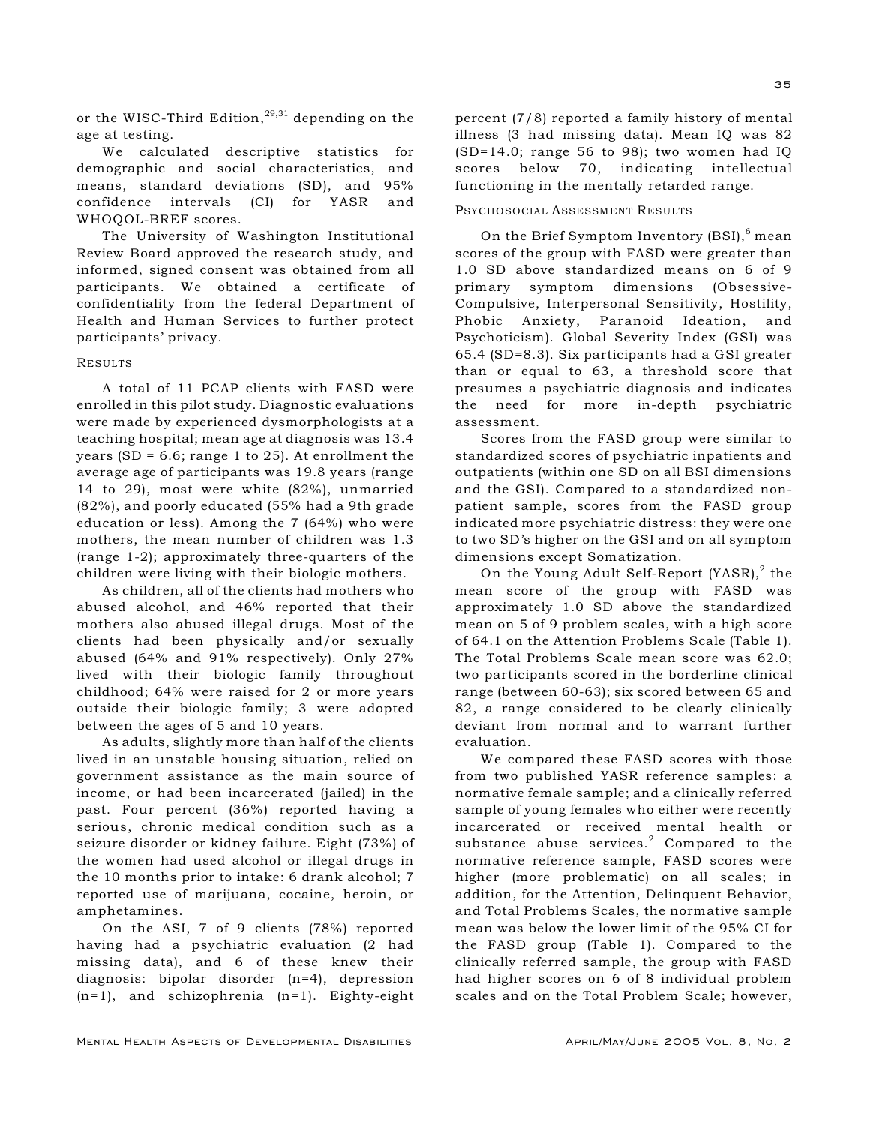or the WISC-Third Edition,  $29,31$  depending on the age at testing.

We calculated descriptive statistics for demographic and social characteristics, and means, standard deviations (SD), and 95% confidence intervals (CI) for YASR and WHOQOL-BREF scores.

The University of Washington Institutional Review Board approved the research study, and informed, signed consent was obtained from all participants. We obtained a certificate of confidentiality from the federal Department of Health and Human Services to further protect participants' privacy.

#### RESULTS

A total of 11 PCAP clients with FASD were enrolled in this pilot study. Diagnostic evaluations were made by experienced dysmorphologists at a teaching hospital; mean age at diagnosis was 13.4 years (SD =  $6.6$ ; range 1 to 25). At enrollment the average age of participants was 19.8 years (range 14 to 29), most were white (82%), unmarried (82%), and poorly educated (55% had a 9th grade education or less). Among the 7 (64%) who were mothers, the mean number of children was 1.3 (range 1-2); approximately three-quarters of the children were living with their biologic mothers.

As children, all of the clients had mothers who abused alcohol, and 46% reported that their mothers also abused illegal drugs. Most of the clients had been physically and/or sexually abused (64% and 91% respectively). Only 27% lived with their biologic family throughout childhood; 64% were raised for 2 or more years outside their biologic family; 3 were adopted between the ages of 5 and 10 years.

As adults, slightly more than half of the clients lived in an unstable housing situation, relied on government assistance as the main source of income, or had been incarcerated (jailed) in the past. Four percent (36%) reported having a serious, chronic medical condition such as a seizure disorder or kidney failure. Eight (73%) of the women had used alcohol or illegal drugs in the 10 months prior to intake: 6 drank alcohol; 7 reported use of marijuana, cocaine, heroin, or amphetamines.

On the ASI, 7 of 9 clients (78%) reported having had a psychiatric evaluation (2 had missing data), and 6 of these knew their diagnosis: bipolar disorder (n=4), depression (n=1), and schizophrenia (n=1). Eighty-eight percent (7/8) reported a family history of mental illness (3 had missing data). Mean IQ was 82 (SD=14.0; range 56 to 98); two women had IQ scores below 70, indicating intellectual functioning in the mentally retarded range.

## PSYCHOSOCIAL ASSESSMENT RESULTS

On the Brief Symptom Inventory  $(BSI)$ ,  $6$  mean scores of the group with FASD were greater than 1.0 SD above standardized means on 6 of 9 primary symptom dimensions (Obsessive-Compulsive, Interpersonal Sensitivity, Hostility, Phobic Anxiety, Paranoid Ideation, and Psychoticism). Global Severity Index (GSI) was 65.4 (SD=8.3). Six participants had a GSI greater than or equal to 63, a threshold score that presumes a psychiatric diagnosis and indicates the need for more in-depth psychiatric assessment.

Scores from the FASD group were similar to standardized scores of psychiatric inpatients and outpatients (within one SD on all BSI dimensions and the GSI). Compared to a standardized nonpatient sample, scores from the FASD group indicated more psychiatric distress: they were one to two SD's higher on the GSI and on all symptom dimensions except Somatization.

On the Young Adult Self-Report  $(YASR)<sup>2</sup>$  the mean score of the group with FASD was approximately 1.0 SD above the standardized mean on 5 of 9 problem scales, with a high score of 64.1 on the Attention Problems Scale (Table 1). The Total Problems Scale mean score was 62.0; two participants scored in the borderline clinical range (between 60-63); six scored between 65 and 82, a range considered to be clearly clinically deviant from normal and to warrant further evaluation.

We compared these FASD scores with those from two published YASR reference samples: a normative female sample; and a clinically referred sample of young females who either were recently incarcerated or received mental health or substance abuse services.<sup>2</sup> Compared to the normative reference sample, FASD scores were higher (more problematic) on all scales; in addition, for the Attention, Delinquent Behavior, and Total Problems Scales, the normative sample mean was below the lower limit of the 95% CI for the FASD group (Table 1). Compared to the clinically referred sample, the group with FASD had higher scores on 6 of 8 individual problem scales and on the Total Problem Scale; however,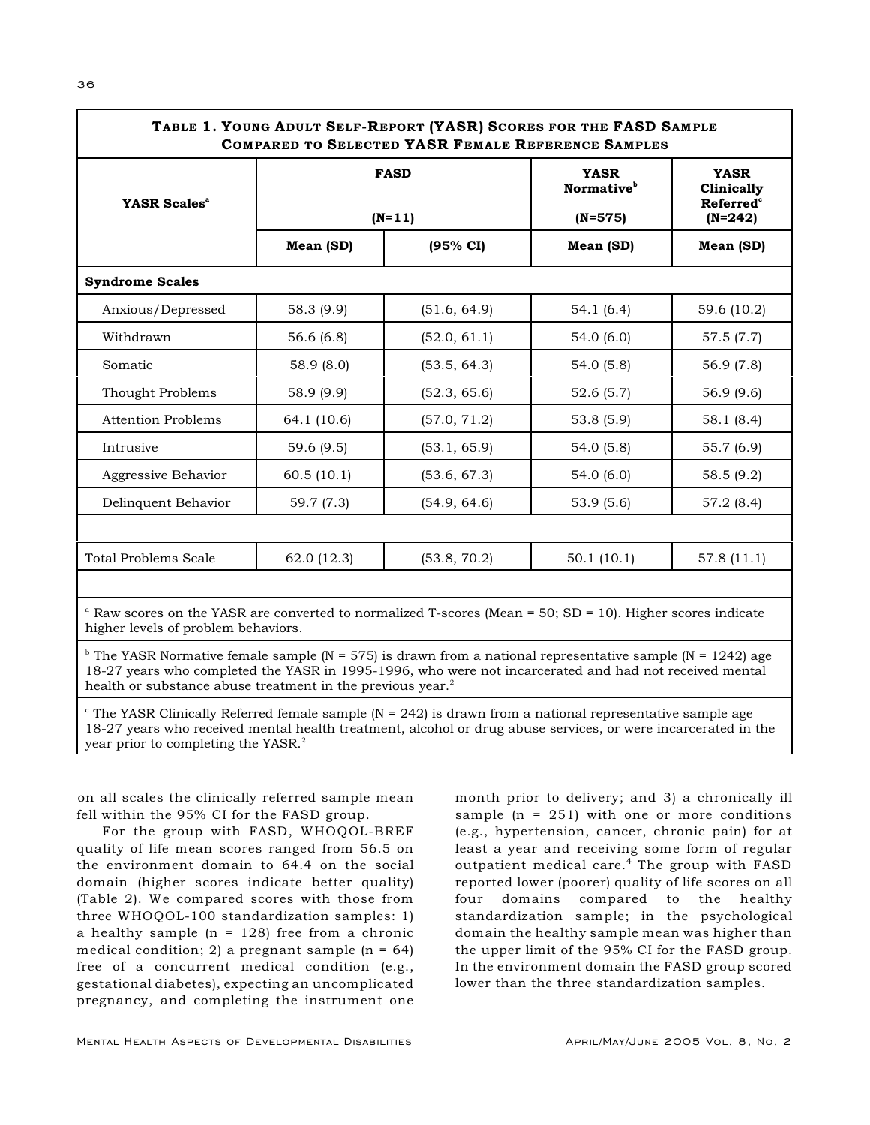| YASR Scales <sup>a</sup>    | <b>FASD</b><br>$(N=11)$ |              | <b>YASR</b><br>Normative <sup>b</sup><br>$(N=575)$ | <b>YASR</b><br>Clinically<br><b>Referred</b> <sup>c</sup><br>$(N=242)$ |
|-----------------------------|-------------------------|--------------|----------------------------------------------------|------------------------------------------------------------------------|
|                             | Mean (SD)               | (95% CI)     | Mean (SD)                                          | Mean (SD)                                                              |
| <b>Syndrome Scales</b>      |                         |              |                                                    |                                                                        |
| Anxious/Depressed           | 58.3 (9.9)              | (51.6, 64.9) | 54.1(6.4)                                          | 59.6 (10.2)                                                            |
| Withdrawn                   | 56.6 (6.8)              | (52.0, 61.1) | 54.0 (6.0)                                         | 57.5 (7.7)                                                             |
| Somatic                     | 58.9 (8.0)              | (53.5, 64.3) | 54.0 (5.8)                                         | 56.9 (7.8)                                                             |
| Thought Problems            | 58.9 (9.9)              | (52.3, 65.6) | 52.6(5.7)                                          | 56.9 (9.6)                                                             |
| <b>Attention Problems</b>   | 64.1 (10.6)             | (57.0, 71.2) | 53.8(5.9)                                          | 58.1 (8.4)                                                             |
| Intrusive                   | 59.6 (9.5)              | (53.1, 65.9) | 54.0(5.8)                                          | 55.7 (6.9)                                                             |
| Aggressive Behavior         | 60.5(10.1)              | (53.6, 67.3) | 54.0 (6.0)                                         | 58.5 (9.2)                                                             |
| Delinquent Behavior         | 59.7 (7.3)              | (54.9, 64.6) | 53.9(5.6)                                          | 57.2 (8.4)                                                             |
|                             |                         |              |                                                    |                                                                        |
| <b>Total Problems Scale</b> | 62.0 (12.3)             | (53.8, 70.2) | 50.1(10.1)                                         | 57.8 (11.1)                                                            |

higher levels of problem behaviors.

<sup>b</sup> The YASR Normative female sample (N = 575) is drawn from a national representative sample (N = 1242) age 18-27 years who completed the YASR in 1995-1996, who were not incarcerated and had not received mental health or substance abuse treatment in the previous year.<sup>2</sup>

 $\epsilon$  The YASR Clinically Referred female sample (N = 242) is drawn from a national representative sample age 18-27 years who received mental health treatment, alcohol or drug abuse services, or were incarcerated in the year prior to completing the YASR.<sup>2</sup>

on all scales the clinically referred sample mean fell within the 95% CI for the FASD group.

For the group with FASD, WHOQOL-BREF quality of life mean scores ranged from 56.5 on the environment domain to 64.4 on the social domain (higher scores indicate better quality) (Table 2). We compared scores with those from three WHOQOL-100 standardization samples: 1) a healthy sample  $(n = 128)$  free from a chronic medical condition; 2) a pregnant sample  $(n = 64)$ free of a concurrent medical condition (e.g., gestational diabetes), expecting an uncomplicated pregnancy, and completing the instrument one

month prior to delivery; and 3) a chronically ill sample  $(n = 251)$  with one or more conditions (e.g., hypertension, cancer, chronic pain) for at least a year and receiving some form of regular outpatient medical care.<sup>4</sup> The group with FASD reported lower (poorer) quality of life scores on all four domains compared to the healthy standardization sample; in the psychological domain the healthy sample mean was higher than the upper limit of the 95% CI for the FASD group. In the environment domain the FASD group scored lower than the three standardization samples.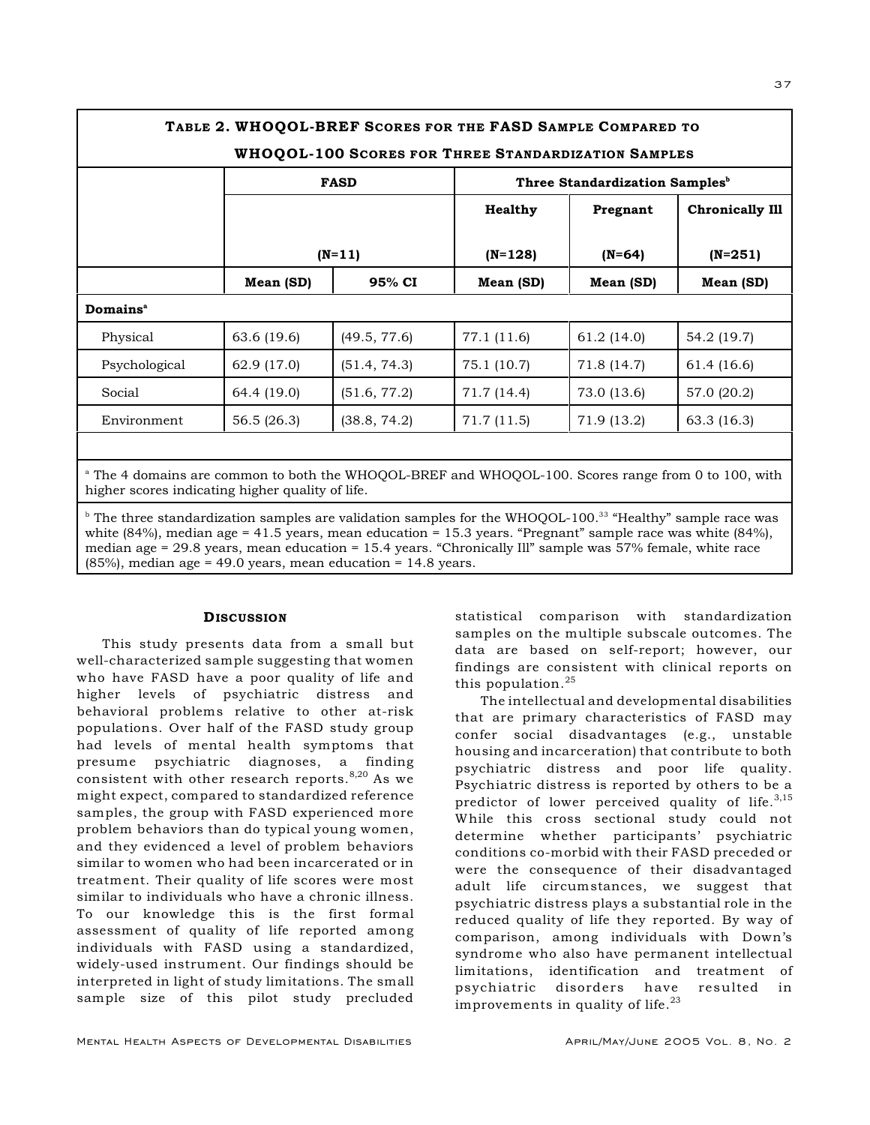| <b>WHOQOL-100 SCORES FOR THREE STANDARDIZATION SAMPLES</b> |             |              |                |                                            |                        |  |  |  |
|------------------------------------------------------------|-------------|--------------|----------------|--------------------------------------------|------------------------|--|--|--|
|                                                            |             | <b>FASD</b>  |                | Three Standardization Samples <sup>b</sup> |                        |  |  |  |
|                                                            |             |              | <b>Healthy</b> | Pregnant                                   | <b>Chronically Ill</b> |  |  |  |
|                                                            |             | $(N=11)$     |                | $(N=64)$                                   | $(N=251)$              |  |  |  |
|                                                            | Mean (SD)   | 95% CI       | Mean (SD)      | Mean (SD)                                  | Mean (SD)              |  |  |  |
| Domains <sup>a</sup>                                       |             |              |                |                                            |                        |  |  |  |
| Physical                                                   | 63.6 (19.6) | (49.5, 77.6) | 77.1 (11.6)    | 61.2(14.0)                                 | 54.2 (19.7)            |  |  |  |
| Psychological                                              | 62.9 (17.0) | (51.4, 74.3) | 75.1 (10.7)    | 71.8 (14.7)                                | 61.4 (16.6)            |  |  |  |
| Social                                                     | 64.4 (19.0) | (51.6, 77.2) | 71.7 (14.4)    | 73.0 (13.6)                                | 57.0 (20.2)            |  |  |  |
| Environment                                                | 56.5(26.3)  | (38.8, 74.2) | 71.7(11.5)     | 71.9 (13.2)                                | 63.3 (16.3)            |  |  |  |
|                                                            |             |              |                |                                            |                        |  |  |  |

 $\mu$  The three standardization samples are validation samples for the WHOOOL-100.<sup>33</sup> "Healthy" sample race was white (84%), median age = 41.5 years, mean education = 15.3 years. "Pregnant" sample race was white (84%), median age = 29.8 years, mean education = 15.4 years. "Chronically Ill" sample was 57% female, white race (85%), median age = 49.0 years, mean education = 14.8 years.

# **DISCUSSION**

This study presents data from a small but well-characterized sample suggesting that women who have FASD have a poor quality of life and higher levels of psychiatric distress and behavioral problems relative to other at-risk populations. Over half of the FASD study group had levels of mental health symptoms that presume psychiatric diagnoses, a finding consistent with other research reports.  $8,20$  As we might expect, compared to standardized reference samples, the group with FASD experienced more problem behaviors than do typical young women, and they evidenced a level of problem behaviors similar to women who had been incarcerated or in treatment. Their quality of life scores were most similar to individuals who have a chronic illness. To our knowledge this is the first formal assessment of quality of life reported among individuals with FASD using a standardized, widely-used instrument. Our findings should be interpreted in light of study limitations. The small sample size of this pilot study precluded

samples on the multiple subscale outcomes. The data are based on self-report; however, our findings are consistent with clinical reports on this population. $25$ The intellectual and developmental disabilities

statistical comparison with standardization

that are primary characteristics of FASD may confer social disadvantages (e.g., unstable housing and incarceration) that contribute to both psychiatric distress and poor life quality. Psychiatric distress is reported by others to be a predictor of lower perceived quality of life. $3,15$ While this cross sectional study could not determine whether participants' psychiatric conditions co-morbid with their FASD preceded or were the consequence of their disadvantaged adult life circumstances, we suggest that psychiatric distress plays a substantial role in the reduced quality of life they reported. By way of comparison, among individuals with Down's syndrome who also have permanent intellectual limitations, identification and treatment of psychiatric disorders have resulted in improvements in quality of life. $^{23}$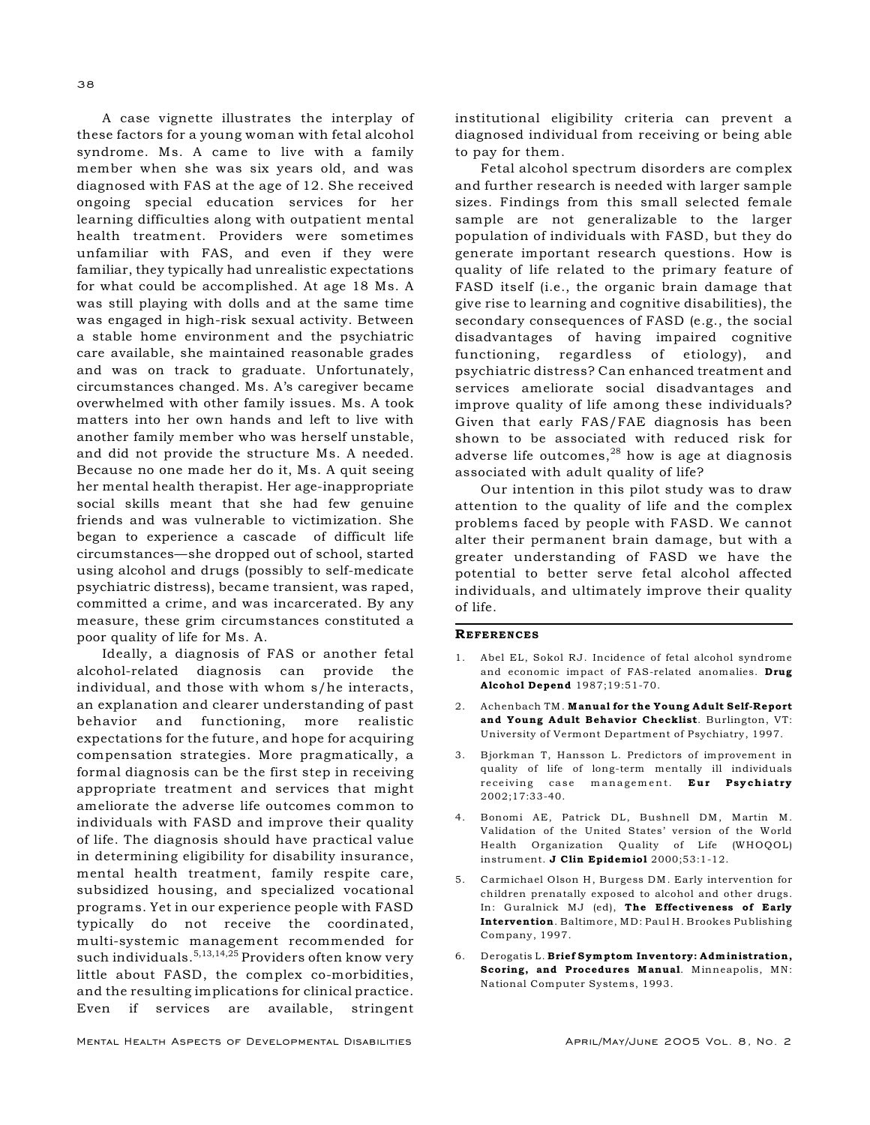A case vignette illustrates the interplay of these factors for a young woman with fetal alcohol syndrome. Ms. A came to live with a family member when she was six years old, and was diagnosed with FAS at the age of 12. She received ongoing special education services for her learning difficulties along with outpatient mental health treatment. Providers were sometimes unfamiliar with FAS, and even if they were familiar, they typically had unrealistic expectations for what could be accomplished. At age 18 Ms. A was still playing with dolls and at the same time was engaged in high-risk sexual activity. Between a stable home environment and the psychiatric care available, she maintained reasonable grades and was on track to graduate. Unfortunately, circumstances changed. Ms. A's caregiver became overwhelmed with other family issues. Ms. A took matters into her own hands and left to live with another family member who was herself unstable, and did not provide the structure Ms. A needed. Because no one made her do it, Ms. A quit seeing her mental health therapist. Her age-inappropriate social skills meant that she had few genuine friends and was vulnerable to victimization. She began to experience a cascade of difficult life circumstances—she dropped out of school, started using alcohol and drugs (possibly to self-medicate psychiatric distress), became transient, was raped, committed a crime, and was incarcerated. By any measure, these grim circumstances constituted a poor quality of life for Ms. A.

Ideally, a diagnosis of FAS or another fetal alcohol-related diagnosis can provide the individual, and those with whom s/he interacts, an explanation and clearer understanding of past behavior and functioning, more realistic expectations for the future, and hope for acquiring compensation strategies. More pragmatically, a formal diagnosis can be the first step in receiving appropriate treatment and services that might ameliorate the adverse life outcomes common to individuals with FASD and improve their quality of life. The diagnosis should have practical value in determining eligibility for disability insurance, mental health treatment, family respite care, subsidized housing, and specialized vocational programs. Yet in our experience people with FASD typically do not receive the coordinated, multi-systemic management recommended for such individuals.  $5,13,14,25$  Providers often know very little about FASD, the complex co-morbidities, and the resulting implications for clinical practice. Even if services are available, stringent

MENTAL HEALTH ASPECTS OF DEVELOPMENTAL DISABILITIES APRIL/MAY/JUNE 2005 VOL. 8, NO. 2

institutional eligibility criteria can prevent a diagnosed individual from receiving or being able to pay for them.

Fetal alcohol spectrum disorders are complex and further research is needed with larger sample sizes. Findings from this small selected female sample are not generalizable to the larger population of individuals with FASD, but they do generate important research questions. How is quality of life related to the primary feature of FASD itself (i.e., the organic brain damage that give rise to learning and cognitive disabilities), the secondary consequences of FASD (e.g., the social disadvantages of having impaired cognitive functioning, regardless of etiology), and psychiatric distress? Can enhanced treatment and services ameliorate social disadvantages and improve quality of life among these individuals? Given that early FAS/FAE diagnosis has been shown to be associated with reduced risk for adverse life outcomes, $^{28}$  how is age at diagnosis associated with adult quality of life?

Our intention in this pilot study was to draw attention to the quality of life and the complex problems faced by people with FASD. We cannot alter their permanent brain damage, but with a greater understanding of FASD we have the potential to better serve fetal alcohol affected individuals, and ultimately improve their quality of life.

# **REFERENCES**

- 1. Abel EL, Sokol RJ. Incidence of fetal alcohol syndrome and economic impact of FAS-related anomalies. Drug Alcohol Depend 1987;19:51-70.
- 2. Achenbach TM. Manual for the Young Adult Self-Report and Young Adult Behavior Checklist. Burlington, VT: University of Vermont Department of Psychiatry, 1997.
- 3. Bjorkman T, Hansson L. Predictors of improvement in quality of life of long-term mentally ill individuals receiving case management. Eur Psychiatry  $2002:17:33-40.$
- 4. Bonomi AE, Patrick DL, Bushnell DM, Martin M. Validation of the United States' version of the World Health Organization Quality of Life (WHOQOL) instrument. J Clin Epidemiol 2000;53:1-12.
- 5. Carmichael Olson H, Burgess DM. Early intervention for children prenatally exposed to alcohol and other drugs. In: Guralnick MJ (ed), The Effectiveness of Early Intervention. Baltimore, MD: Paul H. Brookes Publishing Company, 1997.
- 6. Derogatis L. Brief Symptom Inventory: Administration, Scoring, and Procedures Manual. Minneapolis, MN: National Computer Systems, 1993.